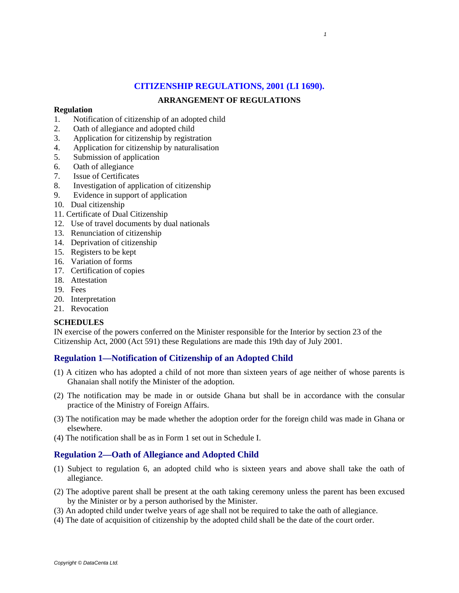# **CITIZENSHIP REGULATIONS, 2001 (LI 1690).**

 *1*

## **ARRANGEMENT OF REGULATIONS**

#### **Regulation**

- 1. Notification of citizenship of an adopted child
- 2. Oath of allegiance and adopted child
- 3. Application for citizenship by registration
- 4. Application for citizenship by naturalisation
- 5. Submission of application
- 6. Oath of allegiance
- 7. Issue of Certificates
- 8. Investigation of application of citizenship
- 9. Evidence in support of application
- 10. Dual citizenship
- 11. Certificate of Dual Citizenship
- 12. Use of travel documents by dual nationals
- 13. Renunciation of citizenship
- 14. Deprivation of citizenship
- 15. Registers to be kept
- 16. Variation of forms
- 17. Certification of copies
- 18. Attestation
- 19. Fees
- 20. Interpretation
- 21. Revocation

## **SCHEDULES**

IN exercise of the powers conferred on the Minister responsible for the Interior by section 23 of the Citizenship Act, 2000 (Act 591) these Regulations are made this 19th day of July 2001.

## **Regulation 1—Notification of Citizenship of an Adopted Child**

- (1) A citizen who has adopted a child of not more than sixteen years of age neither of whose parents is Ghanaian shall notify the Minister of the adoption.
- (2) The notification may be made in or outside Ghana but shall be in accordance with the consular practice of the Ministry of Foreign Affairs.
- (3) The notification may be made whether the adoption order for the foreign child was made in Ghana or elsewhere.
- (4) The notification shall be as in Form 1 set out in Schedule I.

## **Regulation 2—Oath of Allegiance and Adopted Child**

- (1) Subject to regulation 6, an adopted child who is sixteen years and above shall take the oath of allegiance.
- (2) The adoptive parent shall be present at the oath taking ceremony unless the parent has been excused by the Minister or by a person authorised by the Minister.
- (3) An adopted child under twelve years of age shall not be required to take the oath of allegiance.
- (4) The date of acquisition of citizenship by the adopted child shall be the date of the court order.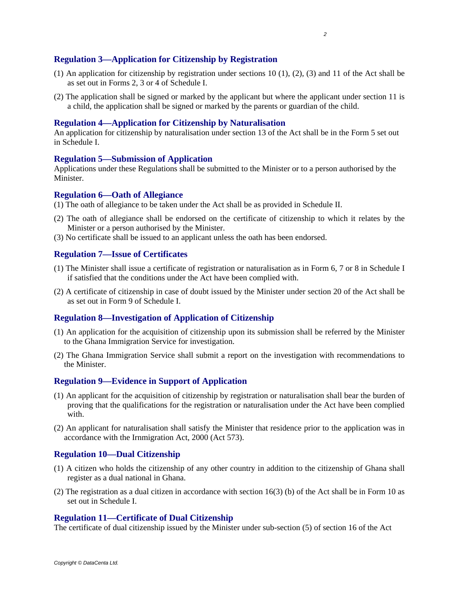#### **Regulation 3—Application for Citizenship by Registration**

- (1) An application for citizenship by registration under sections 10 (1), (2), (3) and 11 of the Act shall be as set out in Forms 2, 3 or 4 of Schedule I.
- (2) The application shall be signed or marked by the applicant but where the applicant under section 11 is a child, the application shall be signed or marked by the parents or guardian of the child.

#### **Regulation 4—Application for Citizenship by Naturalisation**

An application for citizenship by naturalisation under section 13 of the Act shall be in the Form 5 set out in Schedule I.

#### **Regulation 5—Submission of Application**

Applications under these Regulations shall be submitted to the Minister or to a person authorised by the Minister.

#### **Regulation 6—Oath of Allegiance**

- (1) The oath of allegiance to be taken under the Act shall be as provided in Schedule II.
- (2) The oath of allegiance shall be endorsed on the certificate of citizenship to which it relates by the Minister or a person authorised by the Minister.
- (3) No certificate shall be issued to an applicant unless the oath has been endorsed.

#### **Regulation 7—Issue of Certificates**

- (1) The Minister shall issue a certificate of registration or naturalisation as in Form 6, 7 or 8 in Schedule I if satisfied that the conditions under the Act have been complied with.
- (2) A certificate of citizenship in case of doubt issued by the Minister under section 20 of the Act shall be as set out in Form 9 of Schedule I.

#### **Regulation 8—Investigation of Application of Citizenship**

- (1) An application for the acquisition of citizenship upon its submission shall be referred by the Minister to the Ghana Immigration Service for investigation.
- (2) The Ghana Immigration Service shall submit a report on the investigation with recommendations to the Minister.

#### **Regulation 9—Evidence in Support of Application**

- (1) An applicant for the acquisition of citizenship by registration or naturalisation shall bear the burden of proving that the qualifications for the registration or naturalisation under the Act have been complied with.
- (2) An applicant for naturalisation shall satisfy the Minister that residence prior to the application was in accordance with the Irnmigration Act, 2000 (Act 573).

#### **Regulation 10—Dual Citizenship**

- (1) A citizen who holds the citizenship of any other country in addition to the citizenship of Ghana shall register as a dual national in Ghana.
- (2) The registration as a dual citizen in accordance with section 16(3) (b) of the Act shall be in Form 10 as set out in Schedule I.

#### **Regulation 11—Certificate of Dual Citizenship**

The certificate of dual citizenship issued by the Minister under sub-section (5) of section 16 of the Act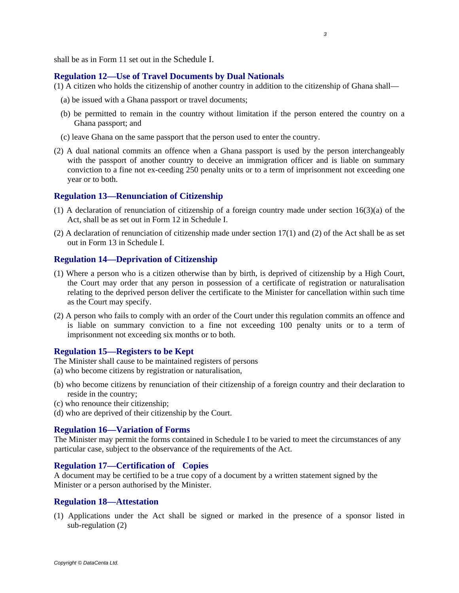shall be as in Form 11 set out in the Schedule I.

#### **Regulation 12—Use of Travel Documents by Dual Nationals**

(1) A citizen who holds the citizenship of another country in addition to the citizenship of Ghana shall—

- (a) be issued with a Ghana passport or travel documents;
- (b) be permitted to remain in the country without limitation if the person entered the country on a Ghana passport; and
- (c) leave Ghana on the same passport that the person used to enter the country.
- (2) A dual national commits an offence when a Ghana passport is used by the person interchangeably with the passport of another country to deceive an immigration officer and is liable on summary conviction to a fine not ex-ceeding 250 penalty units or to a term of imprisonment not exceeding one year or to both.

#### **Regulation 13—Renunciation of Citizenship**

- (1) A declaration of renunciation of citizenship of a foreign country made under section 16(3)(a) of the Act, shall be as set out in Form 12 in Schedule I.
- (2) A declaration of renunciation of citizenship made under section 17(1) and (2) of the Act shall be as set out in Form 13 in Schedule I.

## **Regulation 14—Deprivation of Citizenship**

- (1) Where a person who is a citizen otherwise than by birth, is deprived of citizenship by a High Court, the Court may order that any person in possession of a certificate of registration or naturalisation relating to the deprived person deliver the certificate to the Minister for cancellation within such time as the Court may specify.
- (2) A person who fails to comply with an order of the Court under this regulation commits an offence and is liable on summary conviction to a fine not exceeding 100 penalty units or to a term of imprisonment not exceeding six months or to both.

#### **Regulation 15—Registers to be Kept**

The Minister shall cause to be maintained registers of persons (a) who become citizens by registration or naturalisation,

- (b) who become citizens by renunciation of their citizenship of a foreign country and their declaration to reside in the country;
- (c) who renounce their citizenship;
- (d) who are deprived of their citizenship by the Court.

#### **Regulation 16—Variation of Forms**

The Minister may permit the forms contained in Schedule I to be varied to meet the circumstances of any particular case, subject to the observance of the requirements of the Act.

#### **Regulation 17—Certification of Copies**

A document may be certified to be a true copy of a document by a written statement signed by the Minister or a person authorised by the Minister.

#### **Regulation 18—Attestation**

(1) Applications under the Act shall be signed or marked in the presence of a sponsor listed in sub-regulation (2)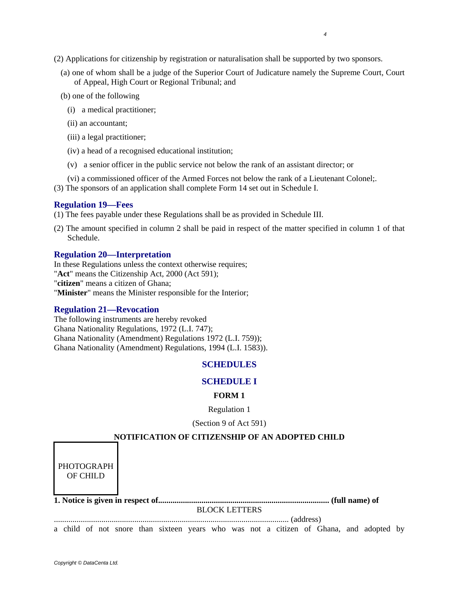- (2) Applications for citizenship by registration or naturalisation shall be supported by two sponsors.
	- (a) one of whom shall be a judge of the Superior Court of Judicature namely the Supreme Court, Court of Appeal, High Court or Regional Tribunal; and
	- (b) one of the following
		- (i) a medical practitioner;
		- (ii) an accountant;
		- (iii) a legal practitioner;
		- (iv) a head of a recognised educational institution;
		- (v) a senior officer in the public service not below the rank of an assistant director; or
		- (vi) a commissioned officer of the Armed Forces not below the rank of a Lieutenant Colonel;.
- (3) The sponsors of an application shall complete Form 14 set out in Schedule I.

## **Regulation 19—Fees**

(1) The fees payable under these Regulations shall be as provided in Schedule III.

(2) The amount specified in column 2 shall be paid in respect of the matter specified in column 1 of that Schedule.

## **Regulation 20—Interpretation**

In these Regulations unless the context otherwise requires; "**Act**" means the Citizenship Act, 2000 (Act 591); "**citizen**" means a citizen of Ghana; "**Minister**" means the Minister responsible for the Interior;

## **Regulation 21—Revocation**

The following instruments are hereby revoked Ghana Nationality Regulations, 1972 (L.I. 747); Ghana Nationality (Amendment) Regulations 1972 (L.I. 759)); Ghana Nationality (Amendment) Regulations, 1994 (L.I. 1583)).

## **SCHEDULES**

## **SCHEDULE I**

## **FORM 1**

Regulation 1

(Section 9 of Act 591)

## **NOTIFICATION OF CITIZENSHIP OF AN ADOPTED CHILD**

| PHOTOGRAPH<br>OF CHILD |                                                                                                                                                                                                                                                                                                                                                                                                                        |           |  |
|------------------------|------------------------------------------------------------------------------------------------------------------------------------------------------------------------------------------------------------------------------------------------------------------------------------------------------------------------------------------------------------------------------------------------------------------------|-----------|--|
|                        |                                                                                                                                                                                                                                                                                                                                                                                                                        |           |  |
|                        | <b>BLOCK LETTERS</b>                                                                                                                                                                                                                                                                                                                                                                                                   |           |  |
|                        |                                                                                                                                                                                                                                                                                                                                                                                                                        | (address) |  |
|                        | $\mathbf{1} \mathbf{1} \mathbf{1} \mathbf{1} \mathbf{1} \mathbf{1} \mathbf{1} \mathbf{1} \mathbf{1} \mathbf{1} \mathbf{1} \mathbf{1} \mathbf{1} \mathbf{1} \mathbf{1} \mathbf{1} \mathbf{1} \mathbf{1} \mathbf{1} \mathbf{1} \mathbf{1} \mathbf{1} \mathbf{1} \mathbf{1} \mathbf{1} \mathbf{1} \mathbf{1} \mathbf{1} \mathbf{1} \mathbf{1} \mathbf{1} \mathbf{1} \mathbf{1} \mathbf{1} \mathbf{1} \mathbf{1} \mathbf{$ |           |  |

a child of not snore than sixteen years who was not a citizen of Ghana, and adopted by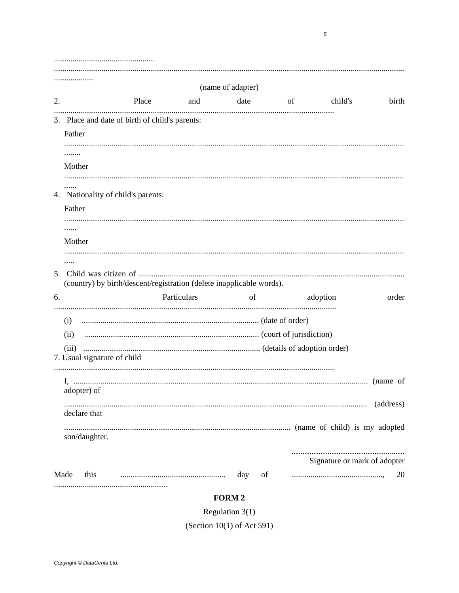| 2. | (name of adapter)<br>Place<br>and and                                                                                             |                     | date of     |          | birth<br>child's                   |
|----|-----------------------------------------------------------------------------------------------------------------------------------|---------------------|-------------|----------|------------------------------------|
|    | 3. Place and date of birth of child's parents:<br>Father<br>Mother<br>4. Nationality of child's parents:<br>Father<br>.<br>Mother |                     |             |          |                                    |
| 6. | .<br>(country) by birth/descent/registration (delete inapplicable words).<br>Particulars                                          | of                  |             | adoption | order                              |
|    | (ii)<br>(iii)<br>7. Usual signature of child                                                                                      |                     |             |          |                                    |
|    | adopter) of<br>declare that<br>son/daughter.                                                                                      |                     |             |          | (address)                          |
|    | Made<br>this                                                                                                                      | day<br><b>FORM2</b> | $\sigma$ of |          | Signature or mark of adopter<br>20 |

Regulation  $3(1)$ 

(Section  $10(1)$  of Act 591)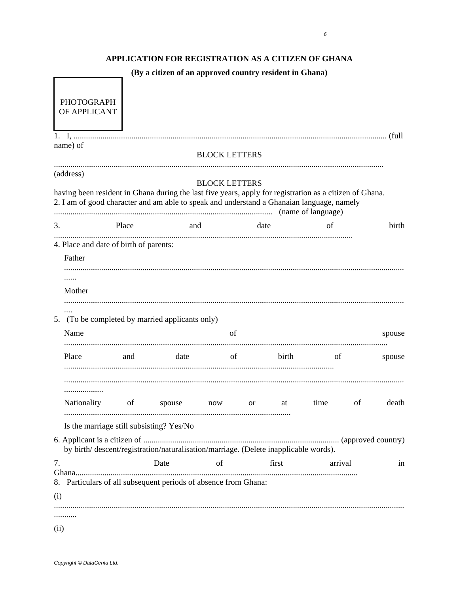# APPLICATION FOR REGISTRATION AS A CITIZEN OF GHANA

(By a citizen of an approved country resident in Ghana)

| <b>PHOTOGRAPH</b><br>OF APPLICANT                                                                                                                                                                    |       |        |                      |               |       |         |    |        |
|------------------------------------------------------------------------------------------------------------------------------------------------------------------------------------------------------|-------|--------|----------------------|---------------|-------|---------|----|--------|
| name) of                                                                                                                                                                                             |       |        | <b>BLOCK LETTERS</b> |               |       |         |    |        |
| (address)                                                                                                                                                                                            |       |        |                      |               |       |         |    |        |
| having been resident in Ghana during the last five years, apply for registration as a citizen of Ghana.<br>2. I am of good character and am able to speak and understand a Ghanaian language, namely |       |        | <b>BLOCK LETTERS</b> |               |       |         |    |        |
| 3.                                                                                                                                                                                                   | Place | and    |                      | date          |       | of      |    | birth  |
| 4. Place and date of birth of parents:                                                                                                                                                               |       |        |                      |               |       |         |    |        |
| Father                                                                                                                                                                                               |       |        |                      |               |       |         |    |        |
|                                                                                                                                                                                                      |       |        |                      |               |       |         |    |        |
| Mother                                                                                                                                                                                               |       |        |                      |               |       |         |    |        |
| <br>5. (To be completed by married applicants only)                                                                                                                                                  |       |        |                      |               |       |         |    |        |
| Name                                                                                                                                                                                                 |       |        | of                   |               |       |         |    | spouse |
| Place                                                                                                                                                                                                | and   | date   | of                   |               | birth | of      |    | spouse |
|                                                                                                                                                                                                      |       |        |                      |               |       |         |    |        |
| Nationality                                                                                                                                                                                          | of    | spouse | now                  | <sub>or</sub> | at    | time    | of | death  |
| Is the marriage still subsisting? Yes/No                                                                                                                                                             |       |        |                      |               |       |         |    |        |
| by birth/descent/registration/naturalisation/marriage. (Delete inapplicable words).                                                                                                                  |       |        |                      |               |       |         |    |        |
| 7.<br>8. Particulars of all subsequent periods of absence from Ghana:                                                                                                                                |       | Date   | of                   |               | first | arrival |    | in     |
| (i)                                                                                                                                                                                                  |       |        |                      |               |       |         |    |        |
|                                                                                                                                                                                                      |       |        |                      |               |       |         |    |        |
|                                                                                                                                                                                                      |       |        |                      |               |       |         |    |        |
| (ii)                                                                                                                                                                                                 |       |        |                      |               |       |         |    |        |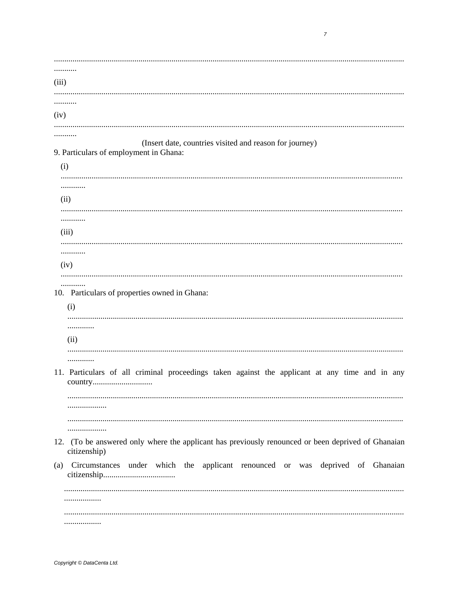. . . . . . . . . . .  $(iii)$  $(iv)$ (Insert date, countries visited and reason for journey) 9. Particulars of employment in Ghana:  $(i)$ . . . . . . . ............  $(ii)$ . . . . . . . . . . . .  $(iii)$ . . . . . . . . . . . . . . . . . . . . . . . . . .  $(iv)$ 10. Particulars of properties owned in Ghana:  $(i)$ . . . . . . . . . . . . .  $(ii)$ . . . . . . . . . . . . . 11. Particulars of all criminal proceedings taken against the applicant at any time and in any . . . . . . . . . . . . . . . . . . . . . . . . . . . . . . . . . . . . . . . 12. (To be answered only where the applicant has previously renounced or been deprived of Ghanaian citizenship) (a) Circumstances under which the applicant renounced or was deprived of Ghanaian . . . . . . . . . . . . . . . . . . ..................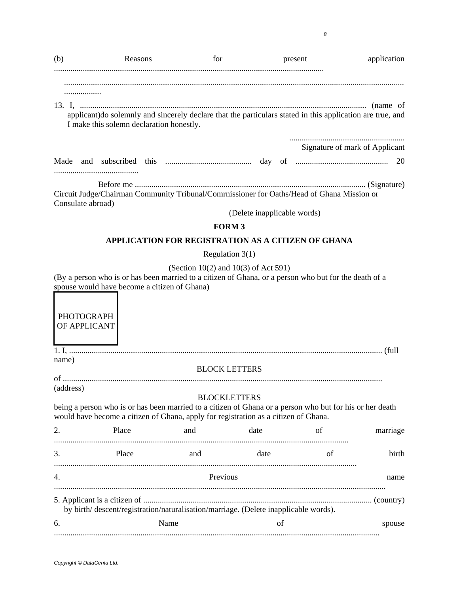| applicant) do solemnly and sincerely declare that the particulars stated in this application are true, and<br>I make this solemn declaration honestly.<br>Signature of mark of Applicant<br>Circuit Judge/Chairman Community Tribunal/Comrnissioner for Oaths/Head of Ghana Mission or<br>Consulate abroad)<br>(Delete inapplicable words)<br><b>FORM3</b><br>APPLICATION FOR REGISTRATION AS A CITIZEN OF GHANA<br>Regulation $3(1)$<br>(Section 10(2) and 10(3) of Act 591)<br>(By a person who is or has been married to a citizen of Ghana, or a person who but for the death of a<br>spouse would have become a citizen of Ghana)<br><b>PHOTOGRAPH</b><br>OF APPLICANT<br>name)<br><b>BLOCK LETTERS</b><br>(address)<br><b>BLOCKLETTERS</b><br>being a person who is or has been married to a citizen of Ghana or a person who but for his or her death<br>would have become a citizen of Ghana, apply for registration as a citizen of Ghana.<br>2.<br>Place<br>of<br>and<br>date<br>marriage<br>3.<br>Place<br>date<br>of<br>birth<br>and<br>Previous<br>4.<br>name<br>by birth/descent/registration/naturalisation/marriage. (Delete inapplicable words).<br>Name<br>οf<br>spouse | (b) | Reasons | for | present | application |
|-------------------------------------------------------------------------------------------------------------------------------------------------------------------------------------------------------------------------------------------------------------------------------------------------------------------------------------------------------------------------------------------------------------------------------------------------------------------------------------------------------------------------------------------------------------------------------------------------------------------------------------------------------------------------------------------------------------------------------------------------------------------------------------------------------------------------------------------------------------------------------------------------------------------------------------------------------------------------------------------------------------------------------------------------------------------------------------------------------------------------------------------------------------------------------------------|-----|---------|-----|---------|-------------|
|                                                                                                                                                                                                                                                                                                                                                                                                                                                                                                                                                                                                                                                                                                                                                                                                                                                                                                                                                                                                                                                                                                                                                                                           |     |         |     |         |             |
|                                                                                                                                                                                                                                                                                                                                                                                                                                                                                                                                                                                                                                                                                                                                                                                                                                                                                                                                                                                                                                                                                                                                                                                           |     |         |     |         |             |
|                                                                                                                                                                                                                                                                                                                                                                                                                                                                                                                                                                                                                                                                                                                                                                                                                                                                                                                                                                                                                                                                                                                                                                                           |     |         |     |         |             |
|                                                                                                                                                                                                                                                                                                                                                                                                                                                                                                                                                                                                                                                                                                                                                                                                                                                                                                                                                                                                                                                                                                                                                                                           |     |         |     |         |             |
|                                                                                                                                                                                                                                                                                                                                                                                                                                                                                                                                                                                                                                                                                                                                                                                                                                                                                                                                                                                                                                                                                                                                                                                           |     |         |     |         |             |
|                                                                                                                                                                                                                                                                                                                                                                                                                                                                                                                                                                                                                                                                                                                                                                                                                                                                                                                                                                                                                                                                                                                                                                                           |     |         |     |         |             |
|                                                                                                                                                                                                                                                                                                                                                                                                                                                                                                                                                                                                                                                                                                                                                                                                                                                                                                                                                                                                                                                                                                                                                                                           |     |         |     |         |             |
|                                                                                                                                                                                                                                                                                                                                                                                                                                                                                                                                                                                                                                                                                                                                                                                                                                                                                                                                                                                                                                                                                                                                                                                           |     |         |     |         |             |
|                                                                                                                                                                                                                                                                                                                                                                                                                                                                                                                                                                                                                                                                                                                                                                                                                                                                                                                                                                                                                                                                                                                                                                                           |     |         |     |         |             |
|                                                                                                                                                                                                                                                                                                                                                                                                                                                                                                                                                                                                                                                                                                                                                                                                                                                                                                                                                                                                                                                                                                                                                                                           |     |         |     |         |             |
|                                                                                                                                                                                                                                                                                                                                                                                                                                                                                                                                                                                                                                                                                                                                                                                                                                                                                                                                                                                                                                                                                                                                                                                           |     |         |     |         |             |
|                                                                                                                                                                                                                                                                                                                                                                                                                                                                                                                                                                                                                                                                                                                                                                                                                                                                                                                                                                                                                                                                                                                                                                                           |     |         |     |         |             |
|                                                                                                                                                                                                                                                                                                                                                                                                                                                                                                                                                                                                                                                                                                                                                                                                                                                                                                                                                                                                                                                                                                                                                                                           |     |         |     |         |             |
|                                                                                                                                                                                                                                                                                                                                                                                                                                                                                                                                                                                                                                                                                                                                                                                                                                                                                                                                                                                                                                                                                                                                                                                           |     |         |     |         |             |
|                                                                                                                                                                                                                                                                                                                                                                                                                                                                                                                                                                                                                                                                                                                                                                                                                                                                                                                                                                                                                                                                                                                                                                                           |     |         |     |         |             |
|                                                                                                                                                                                                                                                                                                                                                                                                                                                                                                                                                                                                                                                                                                                                                                                                                                                                                                                                                                                                                                                                                                                                                                                           |     |         |     |         |             |
|                                                                                                                                                                                                                                                                                                                                                                                                                                                                                                                                                                                                                                                                                                                                                                                                                                                                                                                                                                                                                                                                                                                                                                                           |     |         |     |         |             |
|                                                                                                                                                                                                                                                                                                                                                                                                                                                                                                                                                                                                                                                                                                                                                                                                                                                                                                                                                                                                                                                                                                                                                                                           |     |         |     |         |             |
|                                                                                                                                                                                                                                                                                                                                                                                                                                                                                                                                                                                                                                                                                                                                                                                                                                                                                                                                                                                                                                                                                                                                                                                           |     |         |     |         |             |
|                                                                                                                                                                                                                                                                                                                                                                                                                                                                                                                                                                                                                                                                                                                                                                                                                                                                                                                                                                                                                                                                                                                                                                                           | 6.  |         |     |         |             |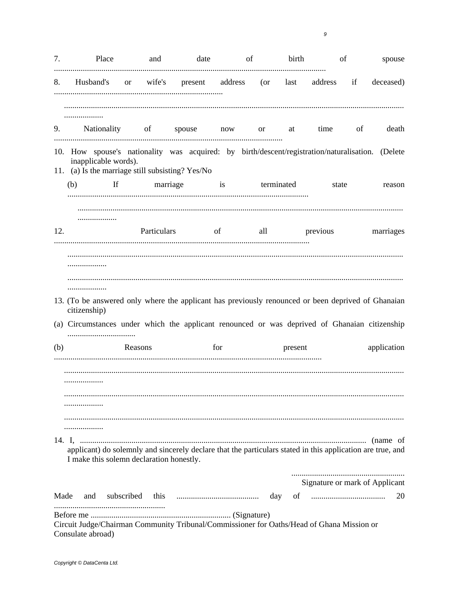| 7.   | Place                                                                                                                                                                        | and                                                               | date                        |     | of | birth      | of                             | spouse      |
|------|------------------------------------------------------------------------------------------------------------------------------------------------------------------------------|-------------------------------------------------------------------|-----------------------------|-----|----|------------|--------------------------------|-------------|
| 8.   |                                                                                                                                                                              | Husband's or wife's present address (or last address if deceased) |                             |     |    |            |                                |             |
|      |                                                                                                                                                                              |                                                                   |                             |     |    |            | time of                        | death       |
|      | 9. Nationality of spouse now or at                                                                                                                                           |                                                                   |                             |     |    |            |                                |             |
|      | 10. How spouse's nationality was acquired: by birth/descent/registration/naturalisation. (Delete<br>inapplicable words).<br>11. (a) Is the marriage still subsisting? Yes/No |                                                                   |                             |     |    |            |                                |             |
|      | $\mathbf{H}$<br>(b)                                                                                                                                                          | marriage is                                                       |                             |     |    | terminated | state                          | reason      |
| 12.  |                                                                                                                                                                              |                                                                   | Particulars of all previous |     |    |            |                                | marriages   |
|      |                                                                                                                                                                              |                                                                   |                             |     |    |            |                                |             |
|      | 13. (To be answered only where the applicant has previously renounced or been deprived of Ghanaian<br>citizenship)                                                           |                                                                   |                             |     |    |            |                                |             |
|      | (a) Circumstances under which the applicant renounced or was deprived of Ghanaian citizenship                                                                                |                                                                   |                             |     |    |            |                                |             |
| (b)  |                                                                                                                                                                              | Reasons                                                           |                             | for |    | present    |                                | application |
|      |                                                                                                                                                                              |                                                                   |                             |     |    |            |                                |             |
|      | applicant) do solemnly and sincerely declare that the particulars stated in this application are true, and<br>I make this solemn declaration honestly.                       |                                                                   |                             |     |    |            |                                |             |
|      |                                                                                                                                                                              |                                                                   |                             |     |    |            | Signature or mark of Applicant |             |
| Made | and                                                                                                                                                                          |                                                                   |                             |     |    |            |                                | 20          |
|      | Circuit Judge/Chairman Community Tribunal/Commissioner for Oaths/Head of Ghana Mission or<br>Consulate abroad)                                                               |                                                                   |                             |     |    |            |                                |             |

 $\boldsymbol{g}$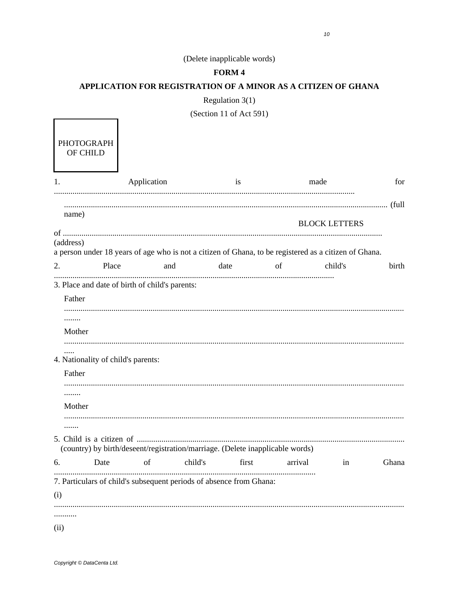# (Delete inapplicable words)

# FORM 4

## APPLICATION FOR REGISTRATION OF A MINOR AS A CITIZEN OF GHANA

Regulation  $3(1)$ 

(Section 11 of Act 591)

|           |                                    |                                                                                                       |         | 11.01 |         |                      |       |
|-----------|------------------------------------|-------------------------------------------------------------------------------------------------------|---------|-------|---------|----------------------|-------|
|           | <b>PHOTOGRAPH</b><br>OF CHILD      |                                                                                                       |         |       |         |                      |       |
| 1.        |                                    | Application                                                                                           |         | is    |         | made                 | for   |
|           |                                    |                                                                                                       |         |       |         |                      |       |
| name)     |                                    |                                                                                                       |         |       |         | <b>BLOCK LETTERS</b> |       |
| (address) |                                    | a person under 18 years of age who is not a citizen of Ghana, to be registered as a citizen of Ghana. |         |       |         |                      |       |
| 2.        | Place                              | and                                                                                                   | date    |       | of      | child's              | birth |
|           |                                    | 3. Place and date of birth of child's parents:                                                        |         |       |         |                      |       |
| Father    |                                    |                                                                                                       |         |       |         |                      |       |
| .         |                                    |                                                                                                       |         |       |         |                      |       |
| Mother    |                                    |                                                                                                       |         |       |         |                      |       |
| .         | 4. Nationality of child's parents: |                                                                                                       |         |       |         |                      |       |
| Father    |                                    |                                                                                                       |         |       |         |                      |       |
| .         |                                    |                                                                                                       |         |       |         |                      |       |
| Mother    |                                    |                                                                                                       |         |       |         |                      |       |
| .         |                                    |                                                                                                       |         |       |         |                      |       |
|           |                                    | (country) by birth/deseent/registration/marriage. (Delete inapplicable words)                         |         |       |         |                      |       |
| 6.        | Date                               | of                                                                                                    | child's | first | arrival | in                   | Ghana |
|           |                                    | 7. Particulars of child's subsequent periods of absence from Ghana:                                   |         |       |         |                      |       |
| (i)       |                                    |                                                                                                       |         |       |         |                      |       |
|           |                                    |                                                                                                       |         |       |         |                      |       |
| (ii)      |                                    |                                                                                                       |         |       |         |                      |       |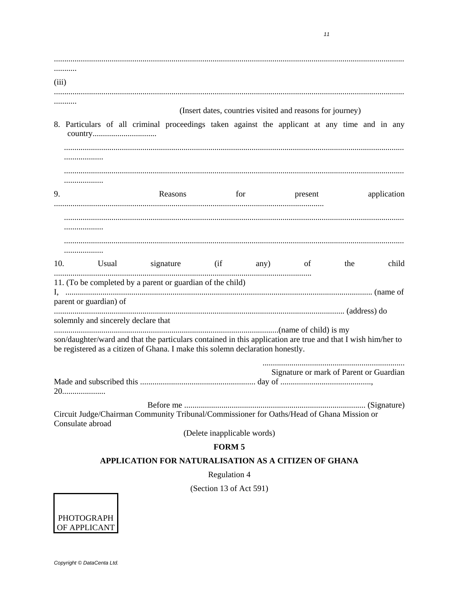| (iii) | .                                                                                                                                                                                             |
|-------|-----------------------------------------------------------------------------------------------------------------------------------------------------------------------------------------------|
|       |                                                                                                                                                                                               |
|       | (Insert dates, countries visited and reasons for journey)                                                                                                                                     |
|       | 8. Particulars of all criminal proceedings taken against the applicant at any time and in any<br>.                                                                                            |
| 9.    | Reasons<br>for<br>application<br>present                                                                                                                                                      |
| 10.   | .<br>.<br>Usual signature (if any) of<br>child<br>the                                                                                                                                         |
|       | 11. (To be completed by a parent or guardian of the child)                                                                                                                                    |
|       | parent or guardian) of<br>solemnly and sincerely declare that                                                                                                                                 |
|       | son/daughter/ward and that the particulars contained in this application are true and that I wish him/her to<br>be registered as a citizen of Ghana. I make this solemn declaration honestly. |
|       | Signature or mark of Parent or Guardian                                                                                                                                                       |
|       | Circuit Judge/Chairman Community Tribunal/Commissioner for Oaths/Head of Ghana Mission or<br>Consulate abroad                                                                                 |
|       | (Delete inapplicable words)                                                                                                                                                                   |
|       | <b>FORM 5</b><br>APPLICATION FOR NATURALISATION AS A CITIZEN OF GHANA                                                                                                                         |
|       | <b>Regulation 4</b>                                                                                                                                                                           |
|       |                                                                                                                                                                                               |

(Section 13 of Act 591)

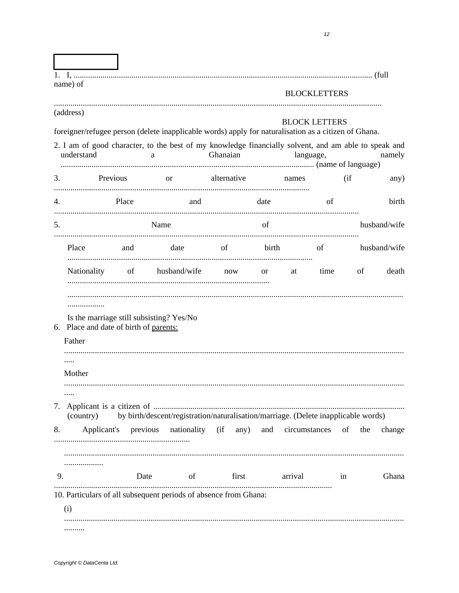|    | name) of                                              |         |                                                                                                                                                                                                                   |          |             |                                   | <b>BLOCKLETTERS</b> |       |     |              |
|----|-------------------------------------------------------|---------|-------------------------------------------------------------------------------------------------------------------------------------------------------------------------------------------------------------------|----------|-------------|-----------------------------------|---------------------|-------|-----|--------------|
|    | (address)<br>understand                               |         | foreigner/refugee person (delete inapplicable words) apply for naturalisation as a citizen of Ghana.<br>2. I am of good character, to the best of my knowledge financially solvent, and am able to speak and<br>a | Ghanaian |             | <b>BLOCK LETTERS</b><br>language, |                     |       |     | namely       |
| 3. | Previous                                              |         | or alternative                                                                                                                                                                                                    |          |             | names                             |                     | (i f) |     | any)         |
| 4. |                                                       | Place   | and                                                                                                                                                                                                               |          | date        |                                   | of                  |       |     | birth        |
| 5. |                                                       |         | Name                                                                                                                                                                                                              |          | of          |                                   |                     |       |     | husband/wife |
|    | Place                                                 | and and | date of                                                                                                                                                                                                           |          | birth       |                                   | $\sigma$ of         |       |     | husband/wife |
|    |                                                       |         | Nationality of husband/wife now                                                                                                                                                                                   |          | $\alpha$ or | at                                | time                |       | of  | death        |
|    | .<br>6. Place and date of birth of parents:<br>Father |         | Is the marriage still subsisting? Yes/No                                                                                                                                                                          |          |             |                                   |                     |       |     |              |
|    | Mother                                                |         |                                                                                                                                                                                                                   |          |             |                                   |                     |       |     |              |
|    | (country)                                             |         | by birth/descent/registration/naturalisation/marriage. (Delete inapplicable words)                                                                                                                                |          |             |                                   |                     |       |     |              |
| 8. |                                                       |         | Applicant's previous nationality (if any) and circumstances of                                                                                                                                                    |          |             |                                   |                     |       | the | change       |
| 9. | .                                                     | Date    | of the state of<br>10. Particulars of all subsequent periods of absence from Ghana:                                                                                                                               | first    |             | arrival                           |                     | in    |     | Ghana        |
|    | (i)                                                   |         |                                                                                                                                                                                                                   |          |             |                                   |                     |       |     |              |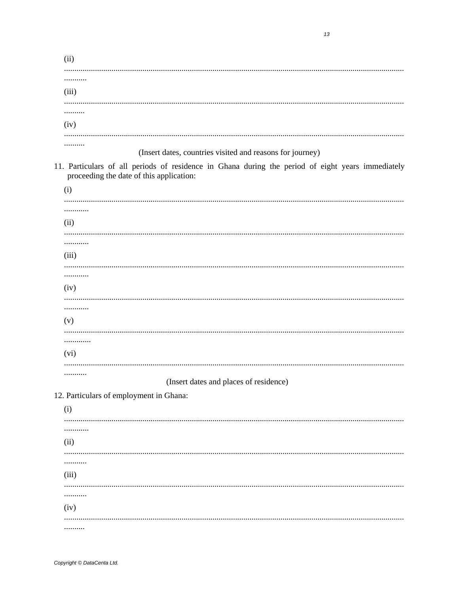| (ii)                                                                                                                                          |
|-----------------------------------------------------------------------------------------------------------------------------------------------|
| .<br>(iii)                                                                                                                                    |
| .                                                                                                                                             |
| (iv)                                                                                                                                          |
| <br>(Insert dates, countries visited and reasons for journey)                                                                                 |
| 11. Particulars of all periods of residence in Ghana during the period of eight years immediately<br>proceeding the date of this application: |
| (i)                                                                                                                                           |
| .<br>(ii)                                                                                                                                     |
| .                                                                                                                                             |
| (iii)                                                                                                                                         |
|                                                                                                                                               |
| (iv)                                                                                                                                          |
| .<br>(v)                                                                                                                                      |
| <br>(vi)                                                                                                                                      |
|                                                                                                                                               |
| .<br>(Insert dates and places of residence)                                                                                                   |
| 12. Particulars of employment in Ghana:                                                                                                       |
| (i)                                                                                                                                           |
| .                                                                                                                                             |
| (ii)                                                                                                                                          |
| <br>(iii)                                                                                                                                     |
| .                                                                                                                                             |
| (iv)                                                                                                                                          |
|                                                                                                                                               |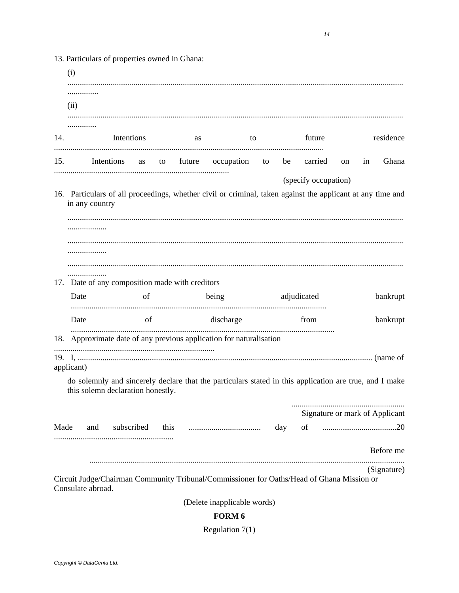$(i)$ . . . . . . . . . . . . . . .  $(ii)$ . . . . . . . . . . . . . . 14. Intentions future residence as to Ghana 15. carried in Intentions on as to future occupation to he (specify occupation) 16. Particulars of all proceedings, whether civil or criminal, taken against the applicant at any time and in any country 17. Date of any composition made with creditors adjudicated bankrupt Date of being Date of discharge from bankrupt 18. Approximate date of any previous application for naturalisation applicant) do solemnly and sincerely declare that the particulars stated in this application are true, and I make this solemn declaration honestly. Signature or mark of Applicant Made and subscribed this day of Before me (Signature) Circuit Judge/Chairman Community Tribunal/Commissioner for Oaths/Head of Ghana Mission or Consulate abroad. (Delete inapplicable words) FORM 6

Regulation  $7(1)$ 

13. Particulars of properties owned in Ghana: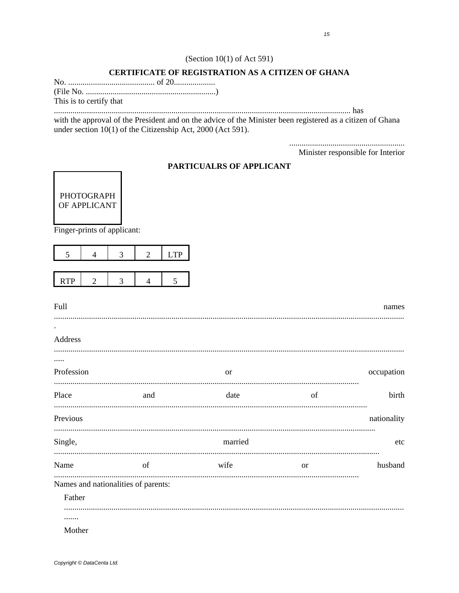## (Section  $10(1)$  of Act 591)

## **CERTIFICATE OF REGISTRATION AS A CITIZEN OF GHANA**

This is to certify that

with the approval of the President and on the advice of the Minister been registered as a citizen of Ghana under section  $10(1)$  of the Citizenship Act, 2000 (Act 591).

Minister responsible for Interior

## PARTICUALRS OF APPLICANT



Finger-prints of applicant:

|            |  | TP) |
|------------|--|-----|
|            |  |     |
| <b>RTP</b> |  |     |

| Full                                |     |               |               | names       |
|-------------------------------------|-----|---------------|---------------|-------------|
| $\bullet$                           |     |               |               |             |
| Address                             |     |               |               |             |
|                                     |     |               |               |             |
| Profession                          |     | <sub>or</sub> |               | occupation  |
| Place                               | and | date          | of            | birth       |
| Previous                            |     |               |               | nationality |
| Single,                             |     | married       |               | etc         |
| Name                                | of  | wife          | <sub>or</sub> | husband     |
| Names and nationalities of parents: |     |               |               |             |
| Father                              |     |               |               |             |
|                                     |     |               |               |             |
| Mother                              |     |               |               |             |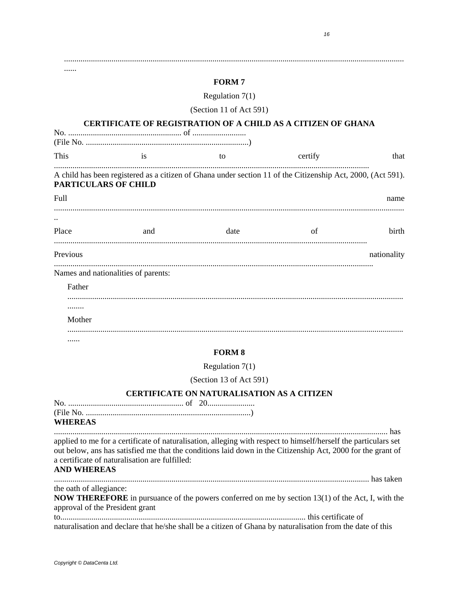|                                 |                                                | <b>FORM7</b>                                                                                                                                                                                                                   |         |                                                                                                            |
|---------------------------------|------------------------------------------------|--------------------------------------------------------------------------------------------------------------------------------------------------------------------------------------------------------------------------------|---------|------------------------------------------------------------------------------------------------------------|
|                                 |                                                | Regulation $7(1)$                                                                                                                                                                                                              |         |                                                                                                            |
|                                 |                                                | (Section 11 of Act 591)                                                                                                                                                                                                        |         |                                                                                                            |
|                                 |                                                | <b>CERTIFICATE OF REGISTRATION OF A CHILD AS A CITIZEN OF GHANA</b>                                                                                                                                                            |         |                                                                                                            |
|                                 |                                                |                                                                                                                                                                                                                                |         |                                                                                                            |
| This                            | is                                             | to                                                                                                                                                                                                                             | certify | that                                                                                                       |
| <b>PARTICULARS OF CHILD</b>     |                                                | A child has been registered as a citizen of Ghana under section 11 of the Citizenship Act, 2000, (Act 591).                                                                                                                    |         |                                                                                                            |
| Full                            |                                                |                                                                                                                                                                                                                                |         | name                                                                                                       |
|                                 |                                                |                                                                                                                                                                                                                                |         |                                                                                                            |
| Place                           | and                                            | date                                                                                                                                                                                                                           | of      | birth                                                                                                      |
| Previous                        |                                                |                                                                                                                                                                                                                                |         | nationality                                                                                                |
|                                 | Names and nationalities of parents:            |                                                                                                                                                                                                                                |         |                                                                                                            |
| Father                          |                                                |                                                                                                                                                                                                                                |         |                                                                                                            |
| .                               |                                                |                                                                                                                                                                                                                                |         |                                                                                                            |
| Mother                          |                                                |                                                                                                                                                                                                                                |         |                                                                                                            |
|                                 |                                                |                                                                                                                                                                                                                                |         |                                                                                                            |
|                                 |                                                | <b>FORM 8</b>                                                                                                                                                                                                                  |         |                                                                                                            |
|                                 |                                                | Regulation $7(1)$                                                                                                                                                                                                              |         |                                                                                                            |
|                                 |                                                | (Section 13 of Act 591)                                                                                                                                                                                                        |         |                                                                                                            |
|                                 |                                                | CERTIFICATE ON NATURALISATION AS A CITIZEN                                                                                                                                                                                     |         |                                                                                                            |
|                                 |                                                |                                                                                                                                                                                                                                |         |                                                                                                            |
| <b>WHEREAS</b>                  |                                                |                                                                                                                                                                                                                                |         |                                                                                                            |
| <b>AND WHEREAS</b>              | a certificate of naturalisation are fulfilled: | applied to me for a certificate of naturalisation, alleging with respect to himself/herself the particulars set<br>out below, ans has satisfied me that the conditions laid down in the Citizenship Act, 2000 for the grant of |         |                                                                                                            |
| the oath of allegiance:         |                                                |                                                                                                                                                                                                                                |         |                                                                                                            |
| approval of the President grant |                                                | <b>NOW THEREFORE</b> in pursuance of the powers conferred on me by section 13(1) of the Act, I, with the                                                                                                                       |         |                                                                                                            |
|                                 |                                                |                                                                                                                                                                                                                                |         | naturalisation and declare that he/she shall be a citizen of Ghana by naturalisation from the date of this |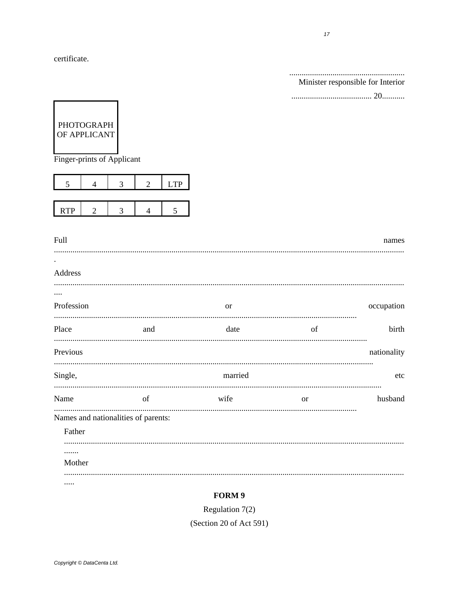certificate.

|            |                                                          |                                     |            |           |           | Minister responsible for Interior |
|------------|----------------------------------------------------------|-------------------------------------|------------|-----------|-----------|-----------------------------------|
|            |                                                          |                                     |            |           |           |                                   |
|            | PHOTOGRAPH<br>OF APPLICANT<br>Finger-prints of Applicant |                                     |            |           |           |                                   |
| 5          | 4                                                        | 3<br>2                              | <b>LTP</b> |           |           |                                   |
| <b>RTP</b> | $\overline{2}$                                           | 3<br>4                              | 5          |           |           |                                   |
|            |                                                          |                                     |            |           |           |                                   |
| Full       |                                                          |                                     |            |           |           | names                             |
|            |                                                          |                                     |            |           |           |                                   |
| Address    |                                                          |                                     |            |           |           |                                   |
|            |                                                          |                                     |            |           |           |                                   |
| Profession |                                                          |                                     |            | <b>or</b> |           | occupation                        |
| Place      |                                                          | and                                 |            | date      | of        | birth                             |
| Previous   |                                                          |                                     |            |           |           | nationality                       |
| Single,    |                                                          |                                     |            | married   |           | etc                               |
| Name       |                                                          | of                                  |            | wife      | <b>or</b> | husband                           |
|            |                                                          | Names and nationalities of parents: |            |           |           |                                   |
| Father     |                                                          |                                     |            |           |           |                                   |
|            |                                                          |                                     |            |           |           |                                   |
| Mother     |                                                          |                                     |            |           |           |                                   |
|            |                                                          |                                     |            |           |           |                                   |
|            |                                                          |                                     |            |           |           |                                   |

# FORM 9

Regulation  $7(2)$ 

(Section 20 of Act 591)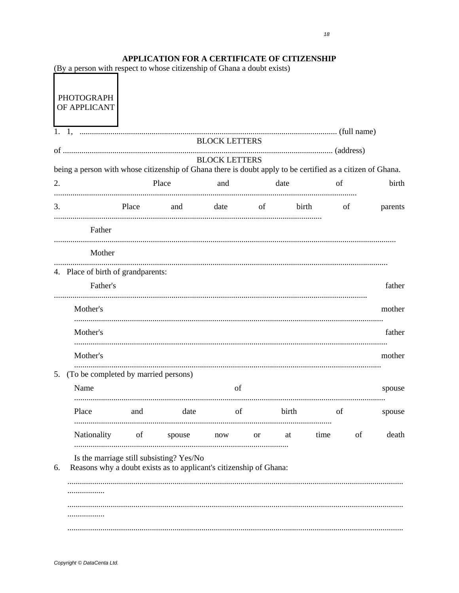# APPLICATION FOR A CERTIFICATE OF CITIZENSHIP

|    | (By a person with respect to whose citizenship of Ghana a doubt exists)                                    |       |                                                                                                                |                      |    |       |          |    |         |
|----|------------------------------------------------------------------------------------------------------------|-------|----------------------------------------------------------------------------------------------------------------|----------------------|----|-------|----------|----|---------|
|    | <b>PHOTOGRAPH</b><br>OF APPLICANT                                                                          |       |                                                                                                                |                      |    |       |          |    |         |
|    |                                                                                                            |       |                                                                                                                |                      |    |       |          |    |         |
|    |                                                                                                            |       |                                                                                                                | <b>BLOCK LETTERS</b> |    |       |          |    |         |
|    | being a person with whose citizenship of Ghana there is doubt apply to be certified as a citizen of Ghana. |       |                                                                                                                | <b>BLOCK LETTERS</b> |    |       |          |    |         |
| 2. |                                                                                                            |       | Place                                                                                                          | and                  |    | date  |          | of | birth   |
| 3. |                                                                                                            | Place | and date of                                                                                                    |                      |    |       | birth of |    | parents |
|    | Father                                                                                                     |       |                                                                                                                |                      |    |       |          |    |         |
|    | Mother                                                                                                     |       |                                                                                                                |                      |    |       |          |    |         |
|    |                                                                                                            |       |                                                                                                                |                      |    |       |          |    |         |
|    | 4. Place of birth of grandparents:<br>Father's                                                             |       |                                                                                                                |                      |    |       |          |    | father  |
|    | Mother's                                                                                                   |       |                                                                                                                |                      |    |       |          |    | mother  |
|    | Mother's                                                                                                   |       |                                                                                                                |                      |    |       |          |    | father  |
|    | Mother's                                                                                                   |       |                                                                                                                |                      |    |       |          |    | mother  |
| 5. | (To be completed by married persons)                                                                       |       |                                                                                                                |                      |    |       |          |    |         |
|    | Name                                                                                                       |       |                                                                                                                | of                   |    |       |          |    | spouse  |
|    | Place                                                                                                      | and   | date                                                                                                           | of                   |    | birth |          | of | spouse  |
|    | Nationality                                                                                                | of    | spouse                                                                                                         | now                  | or | at    | time     | of | death   |
| 6. |                                                                                                            |       | Is the marriage still subsisting? Yes/No<br>Reasons why a doubt exists as to applicant's citizenship of Ghana: |                      |    |       |          |    |         |
|    |                                                                                                            |       |                                                                                                                |                      |    |       |          |    |         |
|    |                                                                                                            |       |                                                                                                                |                      |    |       |          |    |         |
|    |                                                                                                            |       |                                                                                                                |                      |    |       |          |    |         |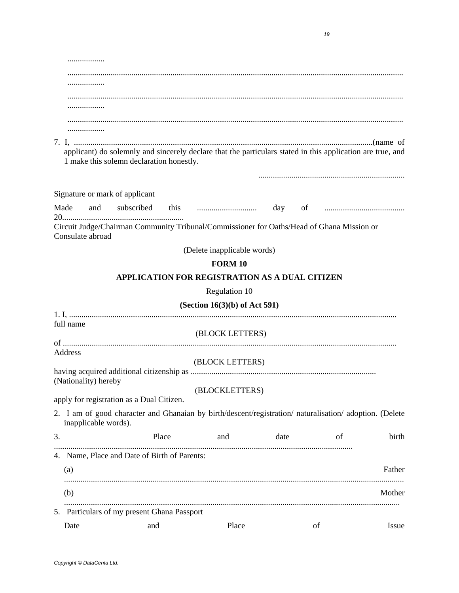|    | .                              |                                                                                                                                                        |                                 |      |    |        |
|----|--------------------------------|--------------------------------------------------------------------------------------------------------------------------------------------------------|---------------------------------|------|----|--------|
|    |                                |                                                                                                                                                        |                                 |      |    |        |
|    |                                |                                                                                                                                                        |                                 |      |    |        |
|    |                                |                                                                                                                                                        |                                 |      |    |        |
|    |                                |                                                                                                                                                        |                                 |      |    |        |
|    |                                |                                                                                                                                                        |                                 |      |    |        |
|    |                                |                                                                                                                                                        |                                 |      |    |        |
|    |                                | applicant) do solemnly and sincerely declare that the particulars stated in this application are true, and<br>1 make this solemn declaration honestly. |                                 |      |    |        |
|    | Signature or mark of applicant |                                                                                                                                                        |                                 |      |    |        |
|    | Made and                       |                                                                                                                                                        |                                 |      |    |        |
|    | Consulate abroad               | Circuit Judge/Chairman Community Tribunal/Commissioner for Oaths/Head of Ghana Mission or                                                              |                                 |      |    |        |
|    |                                |                                                                                                                                                        | (Delete inapplicable words)     |      |    |        |
|    |                                |                                                                                                                                                        | <b>FORM 10</b>                  |      |    |        |
|    |                                | APPLICATION FOR REGISTRATION AS A DUAL CITIZEN                                                                                                         |                                 |      |    |        |
|    |                                |                                                                                                                                                        | Regulation 10                   |      |    |        |
|    |                                |                                                                                                                                                        |                                 |      |    |        |
|    |                                |                                                                                                                                                        | (Section $16(3)(b)$ of Act 591) |      |    |        |
|    | full name                      |                                                                                                                                                        | (BLOCK LETTERS)                 |      |    |        |
|    |                                |                                                                                                                                                        |                                 |      |    |        |
|    | Address                        |                                                                                                                                                        |                                 |      |    |        |
|    |                                |                                                                                                                                                        | (BLOCK LETTERS)                 |      |    |        |
|    | (Nationality) hereby           |                                                                                                                                                        |                                 |      |    |        |
|    |                                |                                                                                                                                                        | (BLOCKLETTERS)                  |      |    |        |
|    |                                | apply for registration as a Dual Citizen.                                                                                                              |                                 |      |    |        |
|    | inapplicable words).           | 2. I am of good character and Ghanaian by birth/descent/registration/ naturalisation/ adoption. (Delete                                                |                                 |      |    |        |
| 3. |                                | Place                                                                                                                                                  | and                             | date | of | birth  |
|    |                                | 4. Name, Place and Date of Birth of Parents:                                                                                                           |                                 |      |    |        |
|    | (a)                            |                                                                                                                                                        |                                 |      |    | Father |
|    | (b)                            |                                                                                                                                                        |                                 |      |    | Mother |
|    |                                | 5. Particulars of my present Ghana Passport                                                                                                            |                                 |      |    |        |
|    | Date                           | and                                                                                                                                                    | Place                           |      | of | Issue  |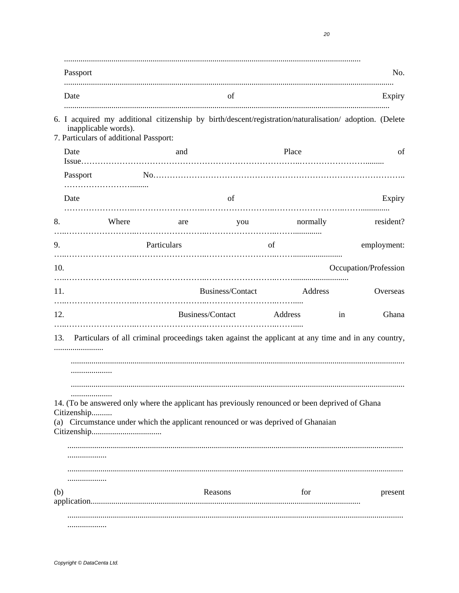|                  |                                                                |             |                                                                                                                                                                                     |          |                       | No.         |
|------------------|----------------------------------------------------------------|-------------|-------------------------------------------------------------------------------------------------------------------------------------------------------------------------------------|----------|-----------------------|-------------|
| Date             |                                                                |             | of                                                                                                                                                                                  |          |                       | Expiry      |
|                  | inapplicable words).<br>7. Particulars of additional Passport: |             | 6. I acquired my additional citizenship by birth/descent/registration/naturalisation/ adoption. (Delete                                                                             |          |                       |             |
| Date             |                                                                | and         |                                                                                                                                                                                     | Place    |                       | of          |
| Passport         |                                                                |             |                                                                                                                                                                                     |          |                       |             |
| Date             |                                                                |             | of                                                                                                                                                                                  |          |                       | Expiry      |
| 8.               | Where                                                          | are         | you                                                                                                                                                                                 | normally |                       | resident?   |
| 9.               |                                                                | Particulars | of                                                                                                                                                                                  |          |                       | employment: |
| 10.              |                                                                |             |                                                                                                                                                                                     |          | Occupation/Profession |             |
| 11.              |                                                                |             | Business/Contact                                                                                                                                                                    | Address  |                       | Overseas    |
| 12.              |                                                                |             | Business/Contact Address                                                                                                                                                            |          | in                    | Ghana       |
| 13.              |                                                                |             | Particulars of all criminal proceedings taken against the applicant at any time and in any country,                                                                                 |          |                       |             |
|                  |                                                                |             |                                                                                                                                                                                     |          |                       |             |
| .<br>Citizenship |                                                                |             | 14. (To be answered only where the applicant has previously renounced or been deprived of Ghana<br>(a) Circumstance under which the applicant renounced or was deprived of Ghanaian |          |                       |             |
|                  |                                                                |             |                                                                                                                                                                                     |          |                       |             |
| .<br>(b)         |                                                                |             | Reasons                                                                                                                                                                             | for      |                       | present     |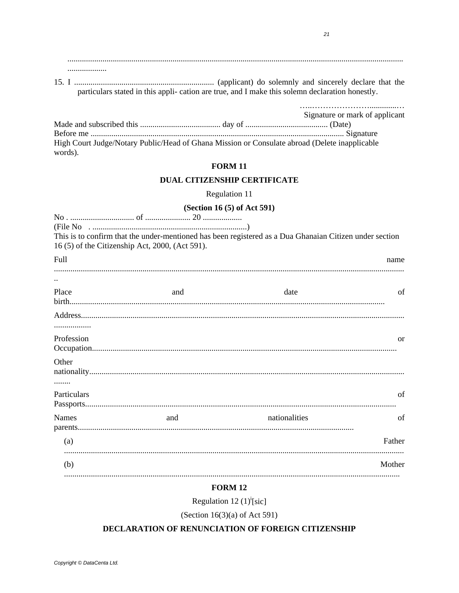. . . . . . . . . . . . . . . . . . . .

particulars stated in this appli- cation are true, and I make this solemn declaration honestly.

|                                                                                               | Signature or mark of applicant |
|-----------------------------------------------------------------------------------------------|--------------------------------|
|                                                                                               |                                |
|                                                                                               |                                |
| High Court Judge/Notary Public/Head of Ghana Mission or Consulate abroad (Delete inapplicable |                                |
| words).                                                                                       |                                |

## **FORM 11**

#### **DUAL CITIZENSHIP CERTIFICATE**

Regulation 11

# (Section 16 (5) of Act 591)

|              | 16 (5) of the Citizenship Act, 2000, (Act 591). | This is to confirm that the under-mentioned has been registered as a Dua Ghanaian Citizen under section |               |
|--------------|-------------------------------------------------|---------------------------------------------------------------------------------------------------------|---------------|
| Full         |                                                 |                                                                                                         | name          |
|              |                                                 |                                                                                                         |               |
| Place        | and                                             | date                                                                                                    | of            |
|              |                                                 |                                                                                                         |               |
| .            |                                                 |                                                                                                         |               |
| Profession   |                                                 |                                                                                                         | <sub>or</sub> |
| Other        |                                                 |                                                                                                         |               |
|              |                                                 |                                                                                                         |               |
| Particulars  |                                                 |                                                                                                         | of            |
| <b>Names</b> | and                                             | nationalities                                                                                           | of            |
| (a)          |                                                 |                                                                                                         | Father        |
| (b)          |                                                 |                                                                                                         | Mother        |
|              |                                                 | --------                                                                                                |               |

# **FORM 12**

Regulation 12  $(1)^{i}$ [sic]

(Section 16(3)(a) of Act 591)

## DECLARATION OF RENUNCIATION OF FOREIGN CITIZENSHIP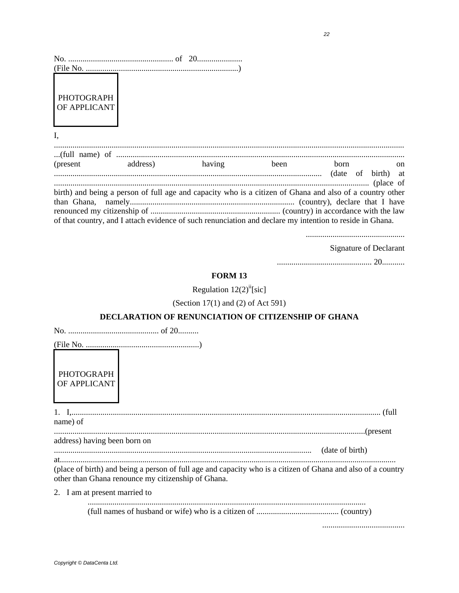| PHOTOGRAPH<br>OF APPLICANT |                                                                                                                                                                                                                      |      |      |    |
|----------------------------|----------------------------------------------------------------------------------------------------------------------------------------------------------------------------------------------------------------------|------|------|----|
| I,                         |                                                                                                                                                                                                                      |      |      |    |
|                            |                                                                                                                                                                                                                      |      |      |    |
| (present address) having   |                                                                                                                                                                                                                      | been | born | on |
|                            | birth) and being a person of full age and capacity who is a citizen of Ghana and also of a country other<br>of that country, and I attach evidence of such renunciation and declare my intention to reside in Ghana. |      |      |    |

**Signature of Declarant** 

#### **FORM 13**

Regulation  $12(2)^{ii}$ [sic]

(Section 17(1) and (2) of Act 591)

## DECLARATION OF RENUNCIATION OF CITIZENSHIP OF GHANA

other than Ghana renounce my citizenship of Ghana.

**PHOTOGRAPH** OF APPLICANT

| name) of |  |
|----------|--|
|          |  |

address) having been born on

date of birth)

(place of birth) and being a person of full age and capacity who is a citizen of Ghana and also of a country

2. I am at present married to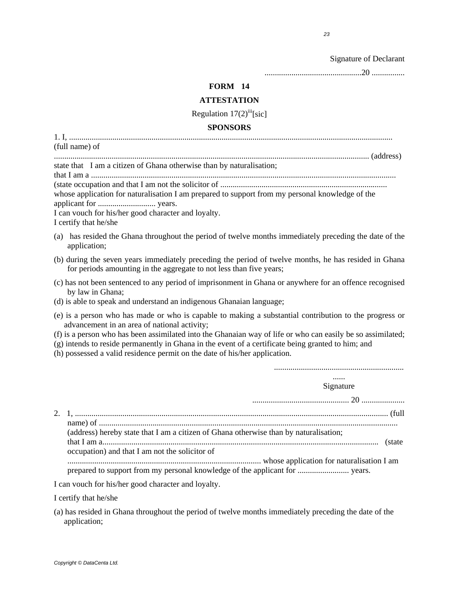Signature of Declarant

...............................................20 ................

## **FORM 14**

#### **ATTESTATION**

Regulation  $17(2)$ <sup>iii</sup>[sic]

#### **SPONSORS**

1. I, ............................................................................................................................................................. (full name) of

......................................................................................................................................................... (address)

state that I am a citizen of Ghana otherwise than by naturalisation; that I am a ....................................................................................................................................................

(state occupation and that I am not the solicitor of .................................................................................

whose application for naturalisation I am prepared to support from my personal knowledge of the applicant for ............................ years.

I can vouch for his/her good character and loyalty.

I certify that he/she

- (a) has resided the Ghana throughout the period of twelve months immediately preceding the date of the application;
- (b) during the seven years immediately preceding the period of twelve months, he has resided in Ghana for periods amounting in the aggregate to not less than five years;
- (c) has not been sentenced to any period of imprisonment in Ghana or anywhere for an offence recognised by law in Ghana;
- (d) is able to speak and understand an indigenous Ghanaian language;
- (e) is a person who has made or who is capable to making a substantial contribution to the progress or advancement in an area of national activity;

(f) is a person who has been assimilated into the Ghanaian way of life or who can easily be so assimilated;

- (g) intends to reside permanently in Ghana in the event of a certificate being granted to him; and
- (h) possessed a valid residence permit on the date of his/her application.

| Signature                                                                             |
|---------------------------------------------------------------------------------------|
|                                                                                       |
|                                                                                       |
|                                                                                       |
| (address) hereby state that I am a citizen of Ghana otherwise than by naturalisation; |
|                                                                                       |
| occupation) and that I am not the solicitor of                                        |
|                                                                                       |
|                                                                                       |

I can vouch for his/her good character and loyalty.

I certify that he/she

(a) has resided in Ghana throughout the period of twelve months immediately preceding the date of the application;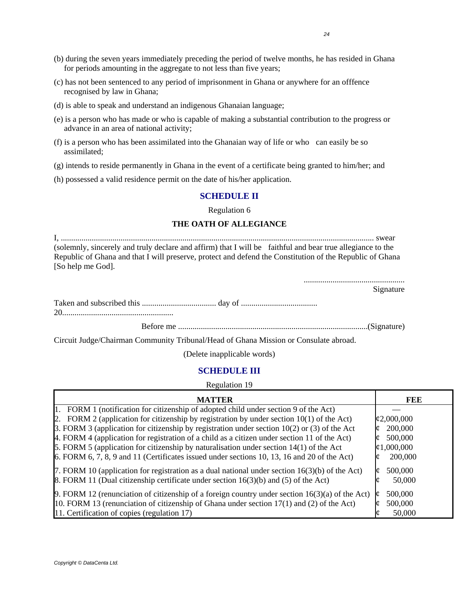- (b) during the seven years immediately preceding the period of twelve months, he has resided in Ghana for periods amounting in the aggregate to not less than five years;
- (c) has not been sentenced to any period of imprisonment in Ghana or anywhere for an offfence recognised by law in Ghana;
- (d) is able to speak and understand an indigenous Ghanaian language;
- (e) is a person who has made or who is capable of making a substantial contribution to the progress or advance in an area of national activity;
- (f) is a person who has been assimilated into the Ghanaian way of life or who can easily be so assimilated;
- (g) intends to reside permanently in Ghana in the event of a certificate being granted to him/her; and
- (h) possessed a valid residence permit on the date of his/her application.

#### **SCHEDULE II**

Regulation 6

#### **THE OATH OF ALLEGIANCE**

I, ........................................................................................................................................................ swear (solemnly, sincerely and truly declare and affirm) that I will be faithful and bear true allegiance to the Republic of Ghana and that I will preserve, protect and defend the Constitution of the Republic of Ghana [So help me God].

| <br>Signature |
|---------------|
|               |
|               |

Circuit Judge/Chairman Community Tribunal/Head of Ghana Mission or Consulate abroad.

(Delete inapplicable words)

## **SCHEDULE III**

Regulation 19

| <b>MATTER</b>                                                                                     | FEE                |
|---------------------------------------------------------------------------------------------------|--------------------|
| 1. FORM 1 (notification for citizenship of adopted child under section 9 of the Act)              |                    |
| 2. FORM 2 (application for citizenship by registration by under section $10(1)$ of the Act)       | $\sqrt{2,000,000}$ |
| 3. FORM 3 (application for citizenship by registration under section $10(2)$ or (3) of the Act    | 200,000            |
| 4. FORM 4 (application for registration of a child as a citizen under section 11 of the Act)      | 500,000            |
| 5. FORM 5 (application for citizenship by naturalisation under section $14(1)$ of the Act         | $\phi$ 1,000,000   |
| 6. FORM $6, 7, 8, 9$ and 11 (Certificates issued under sections 10, 13, 16 and 20 of the Act)     | 200,000            |
| 7. FORM 10 (application for registration as a dual national under section $16(3)(b)$ of the Act)  | 500,000            |
| 8. FORM 11 (Dual citizenship certificate under section $16(3)(b)$ and (5) of the Act)             | 50,000             |
| 9. FORM 12 (renunciation of citizenship of a foreign country under section $16(3)(a)$ of the Act) | 500,000            |
| 10. FORM 13 (renunciation of citizenship of Ghana under section $17(1)$ and (2) of the Act)       | 500,000            |
| 11. Certification of copies (regulation 17)                                                       | 50,000             |